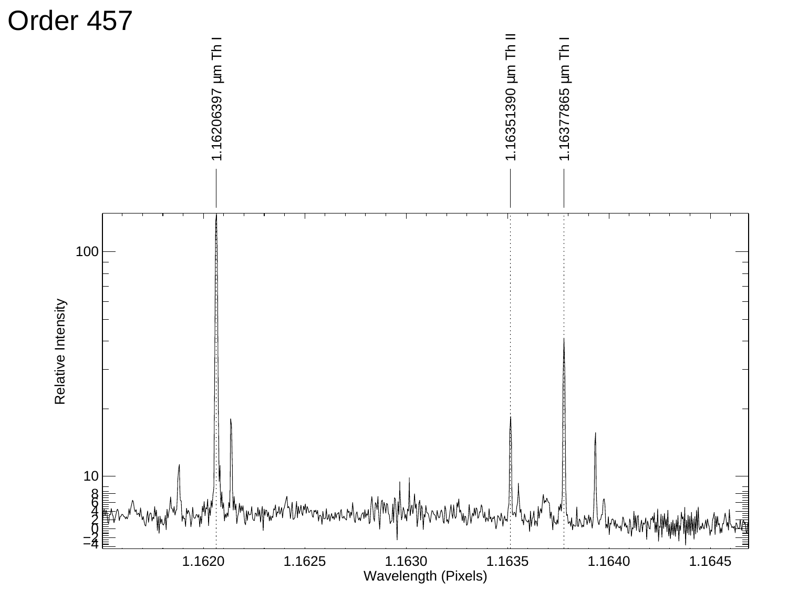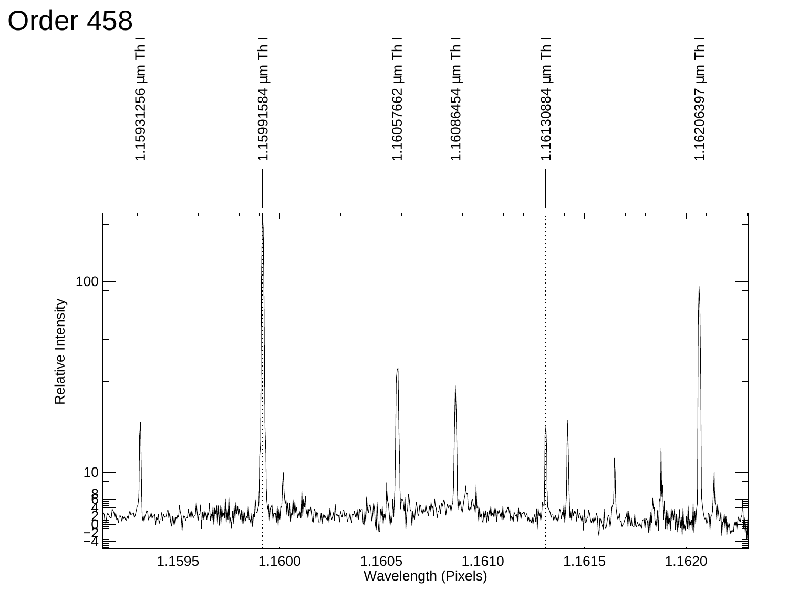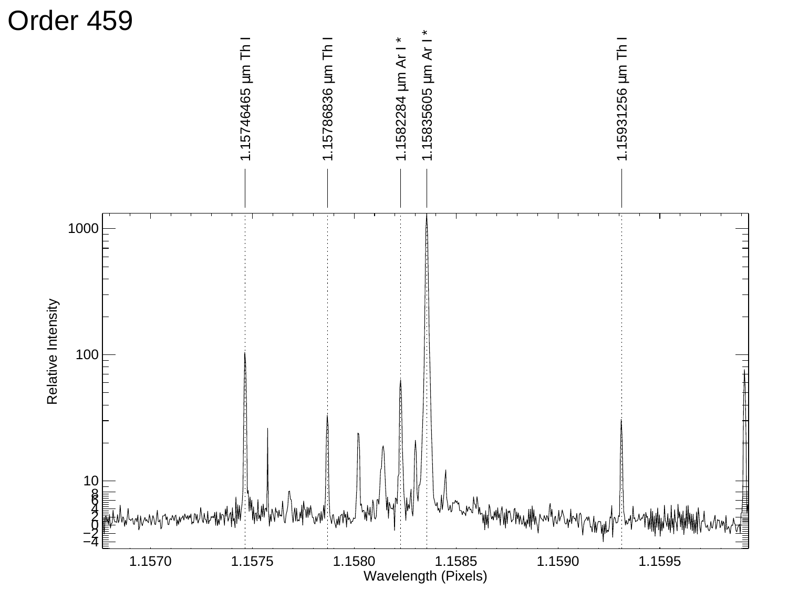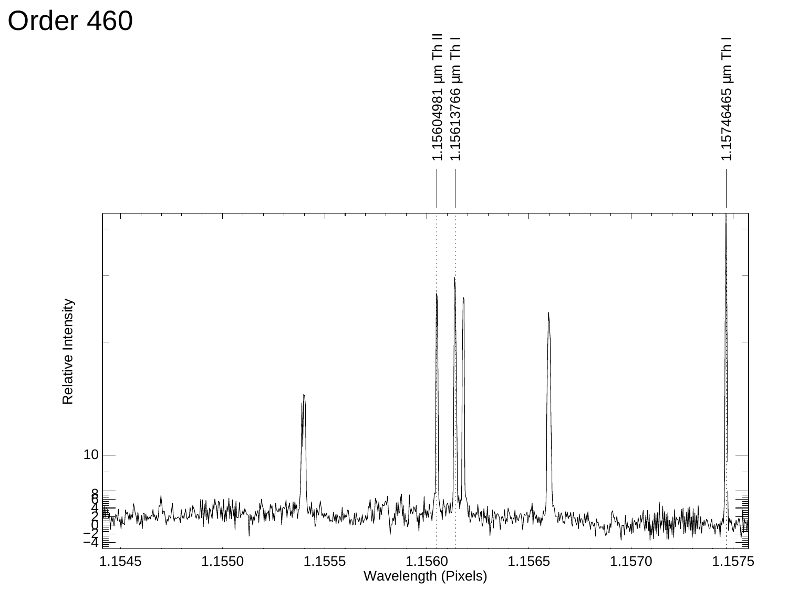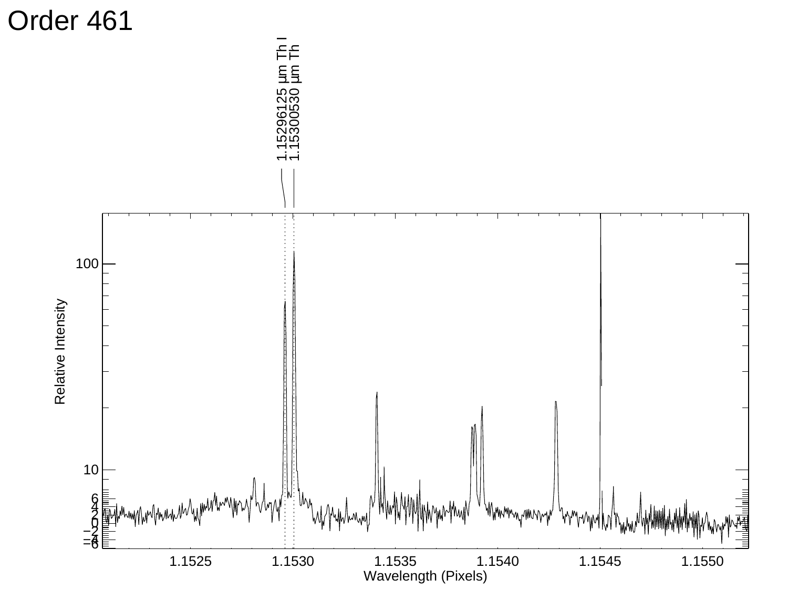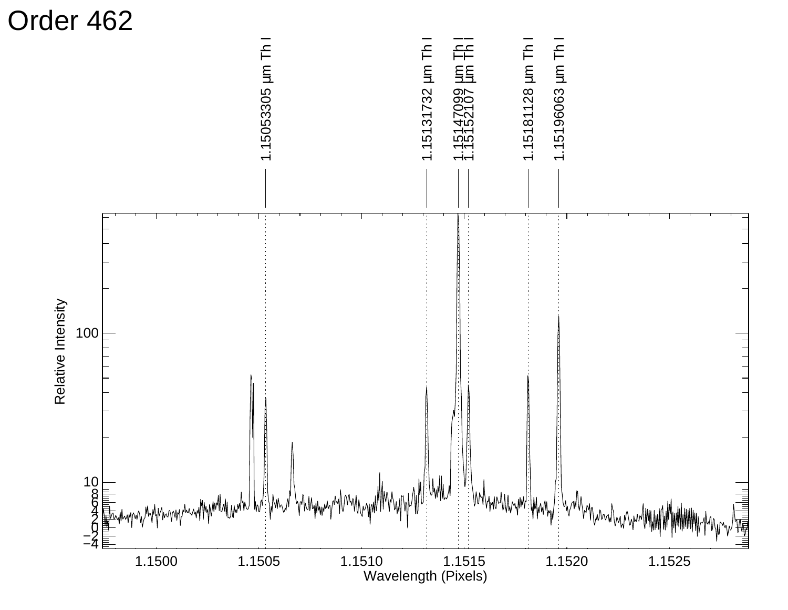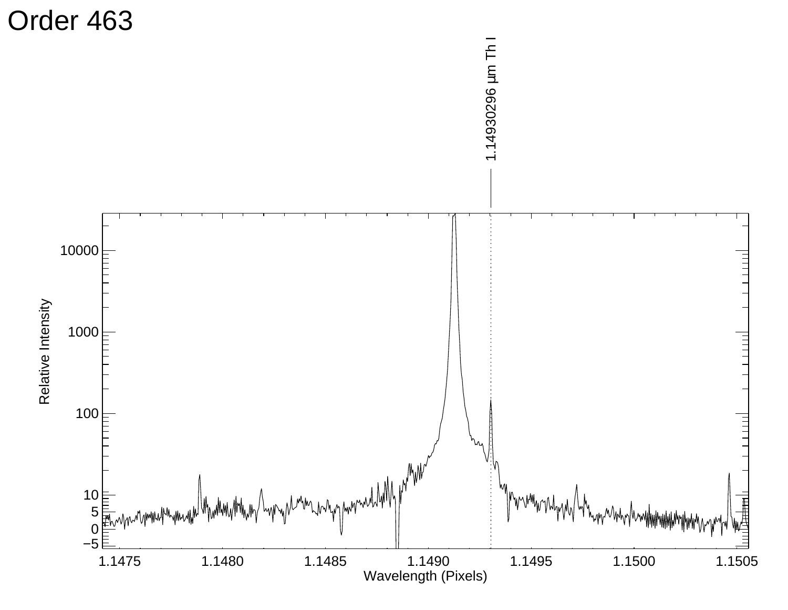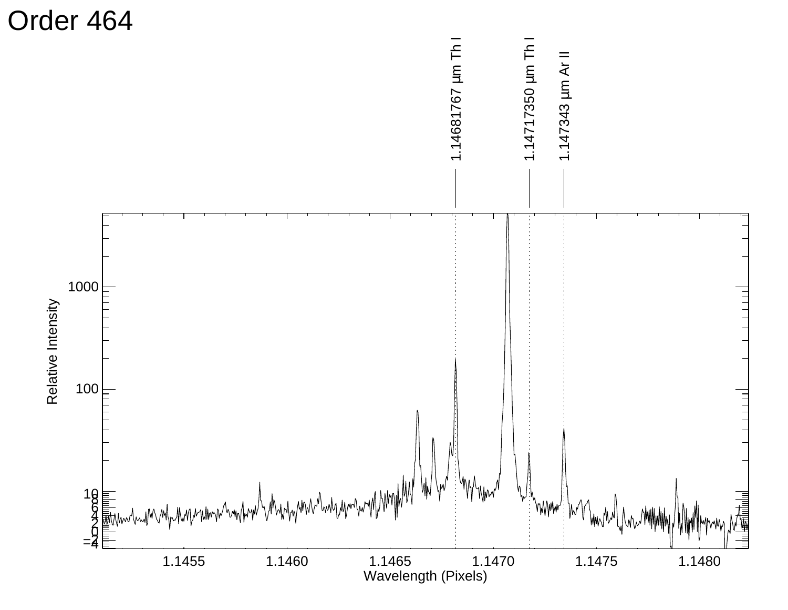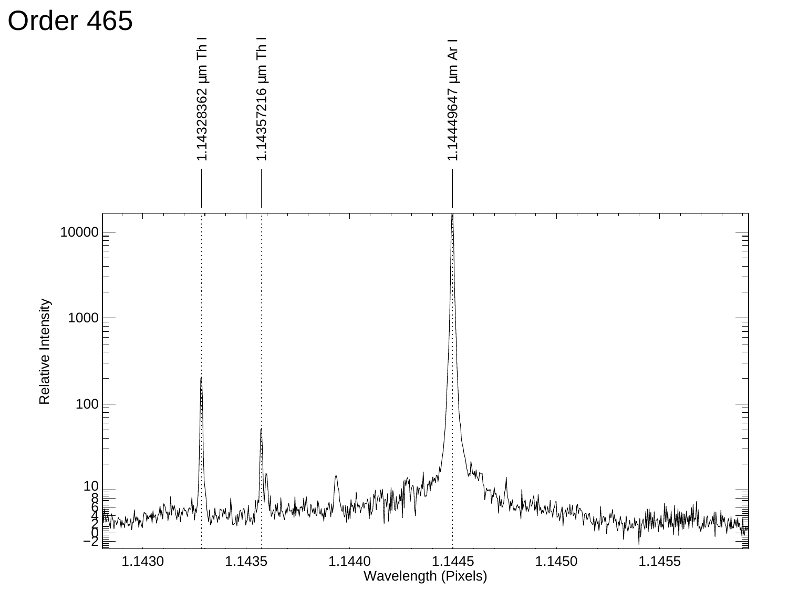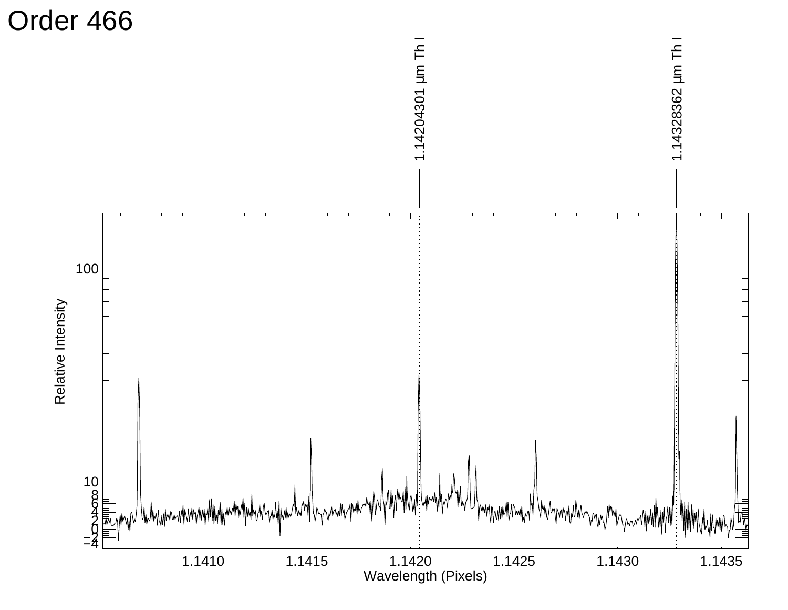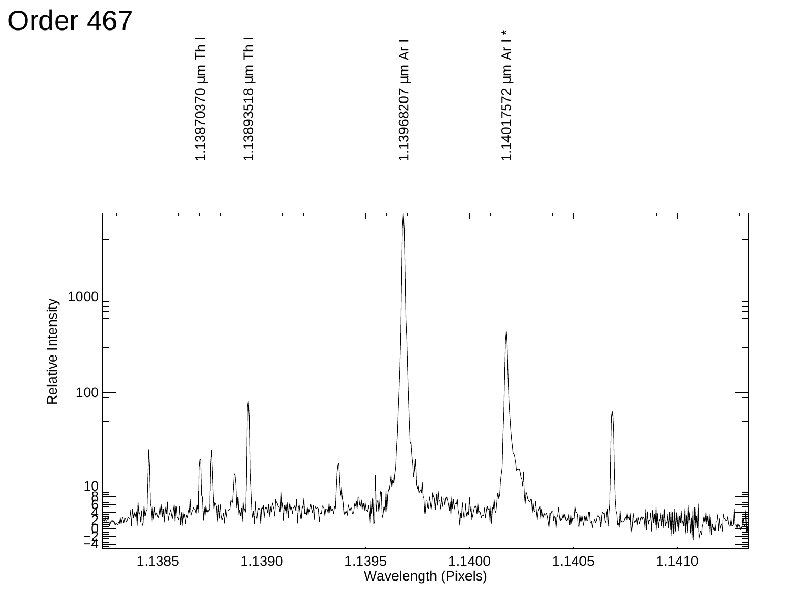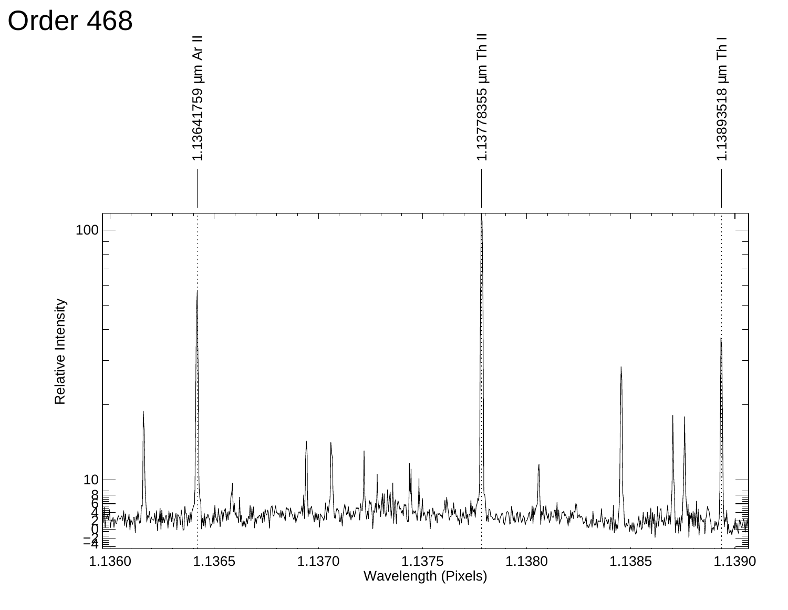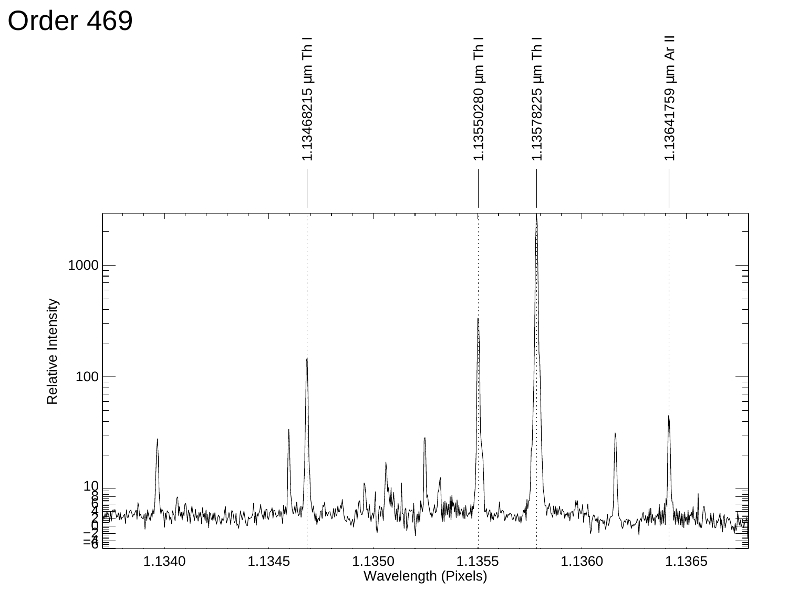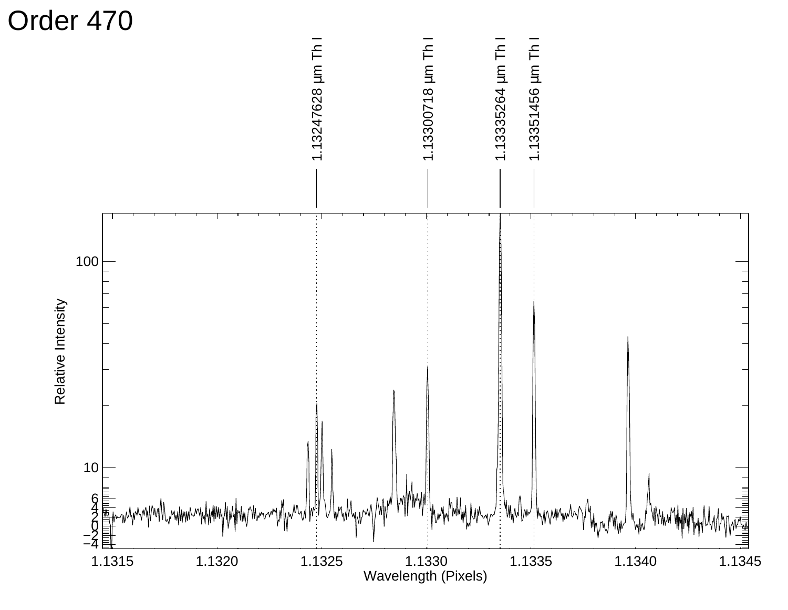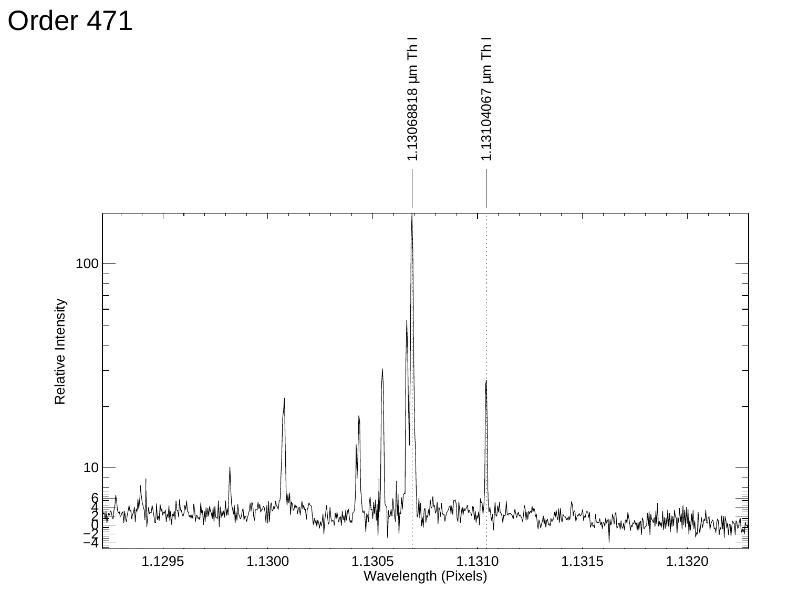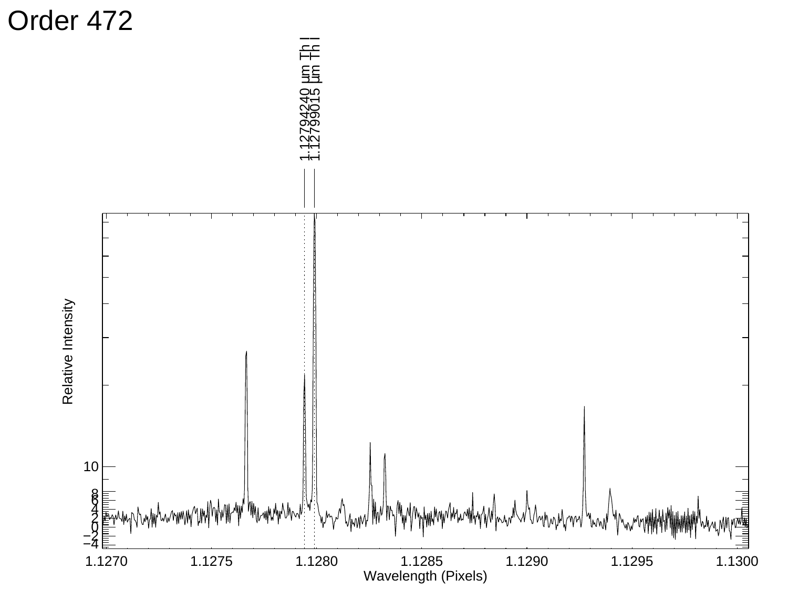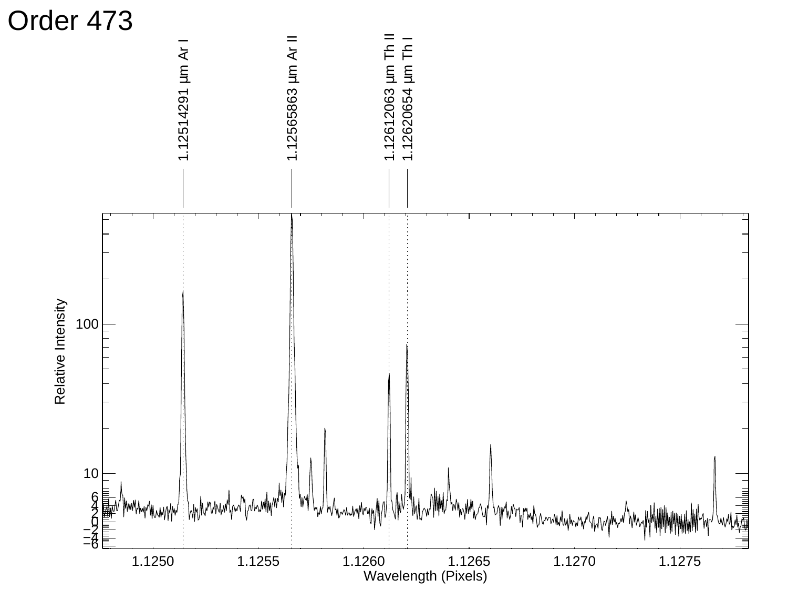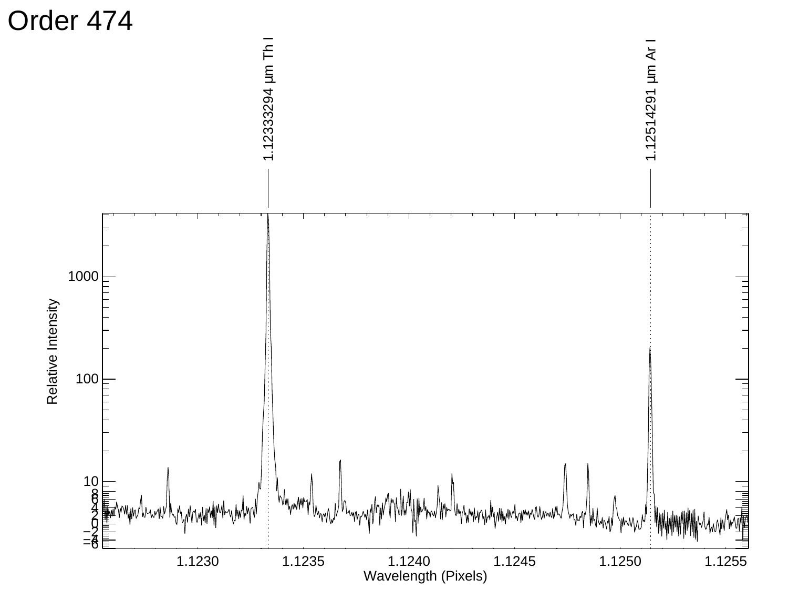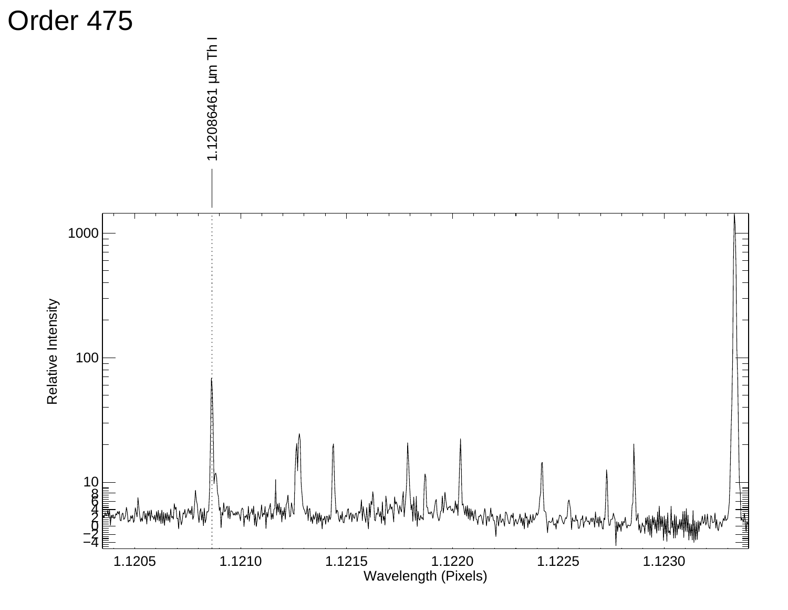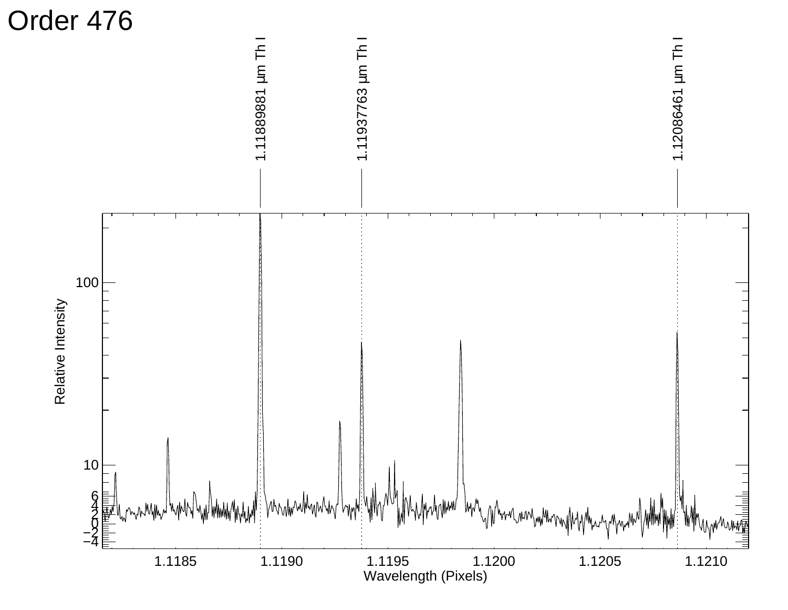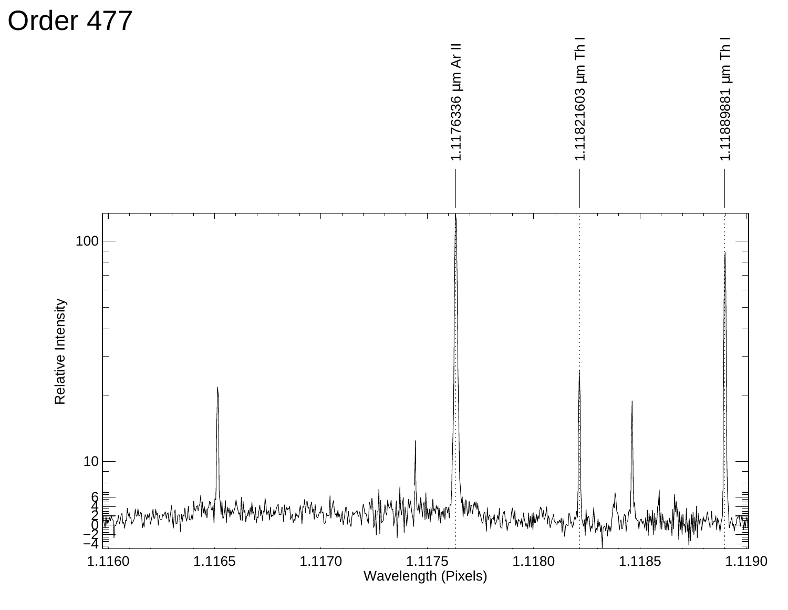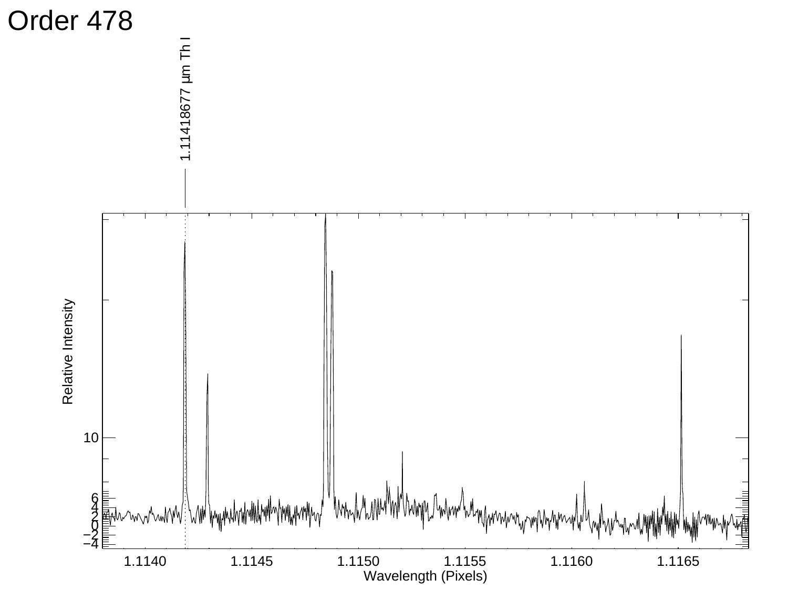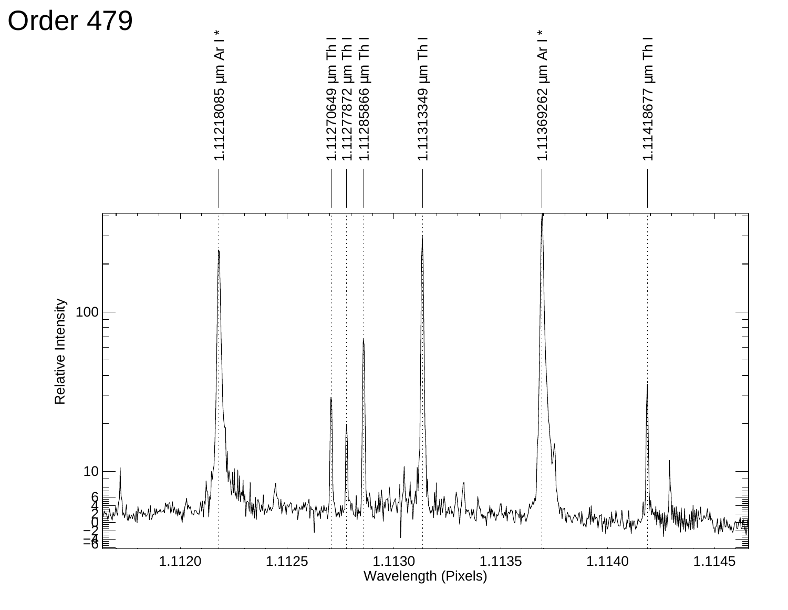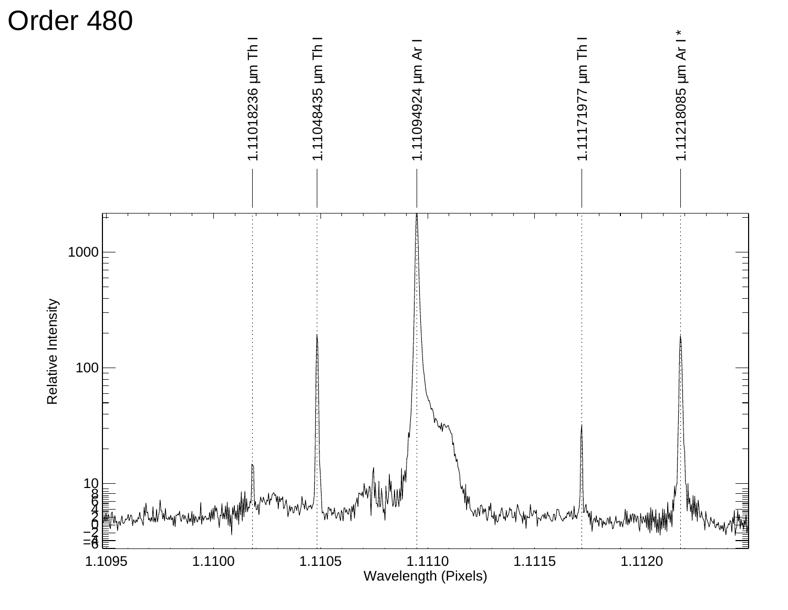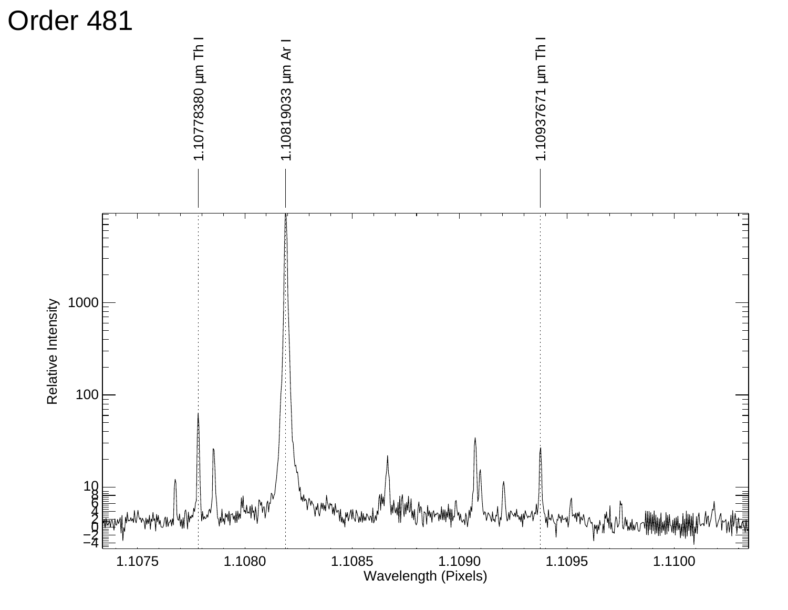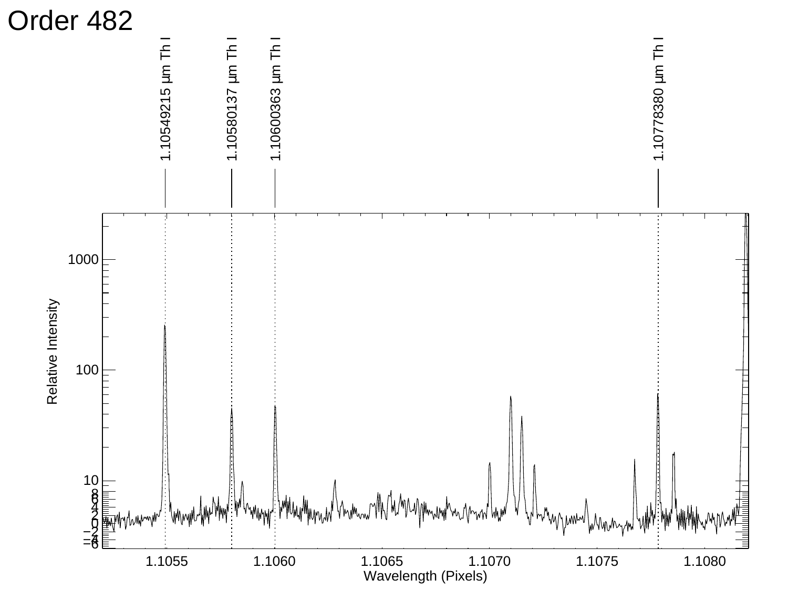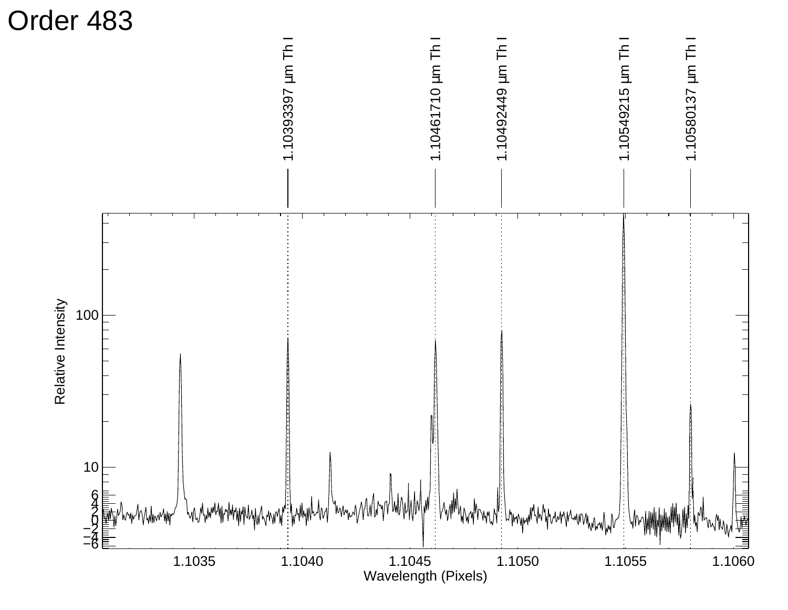![](_page_26_Figure_0.jpeg)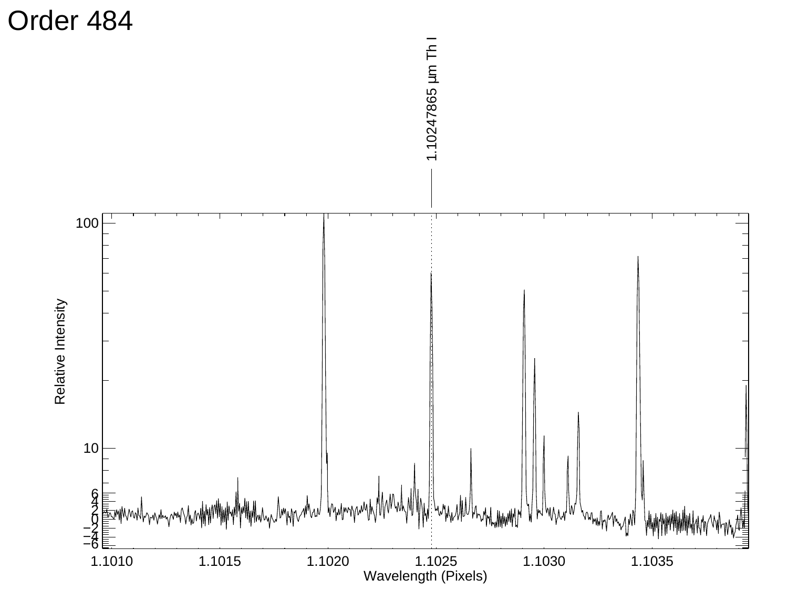![](_page_27_Figure_0.jpeg)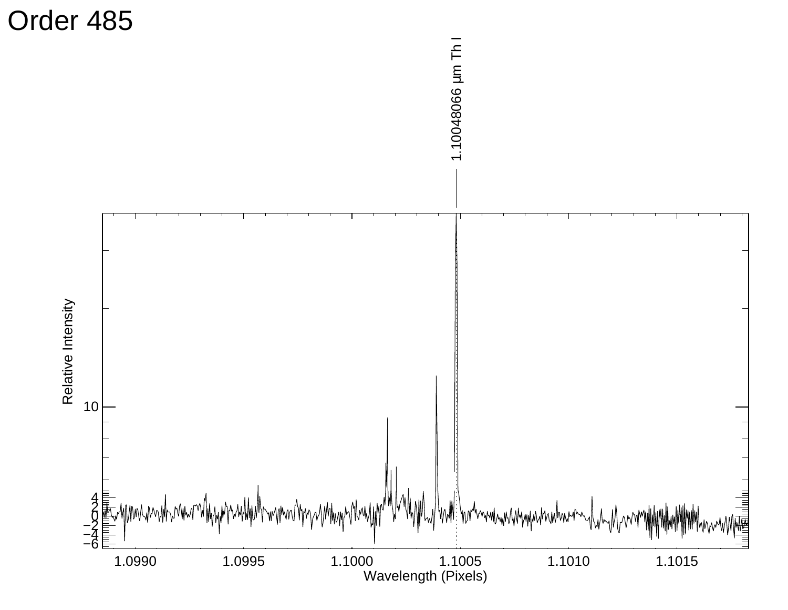![](_page_28_Figure_0.jpeg)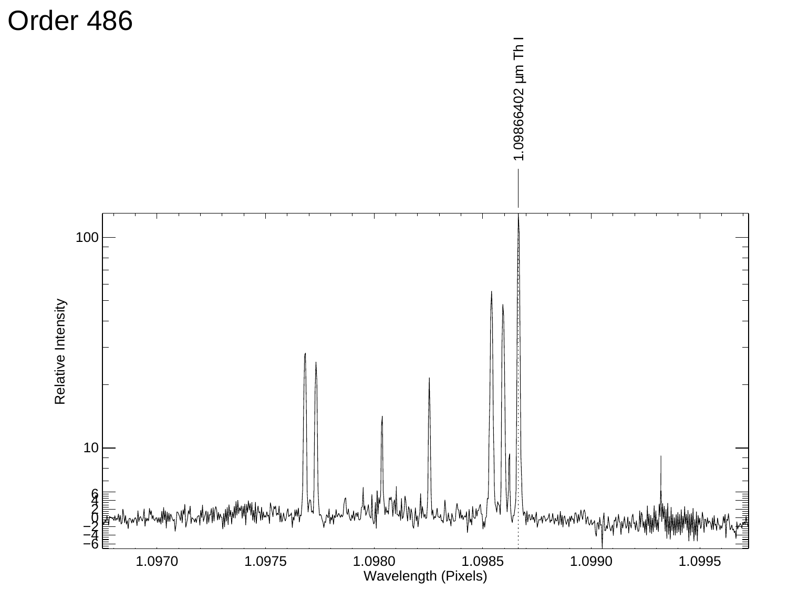![](_page_29_Figure_0.jpeg)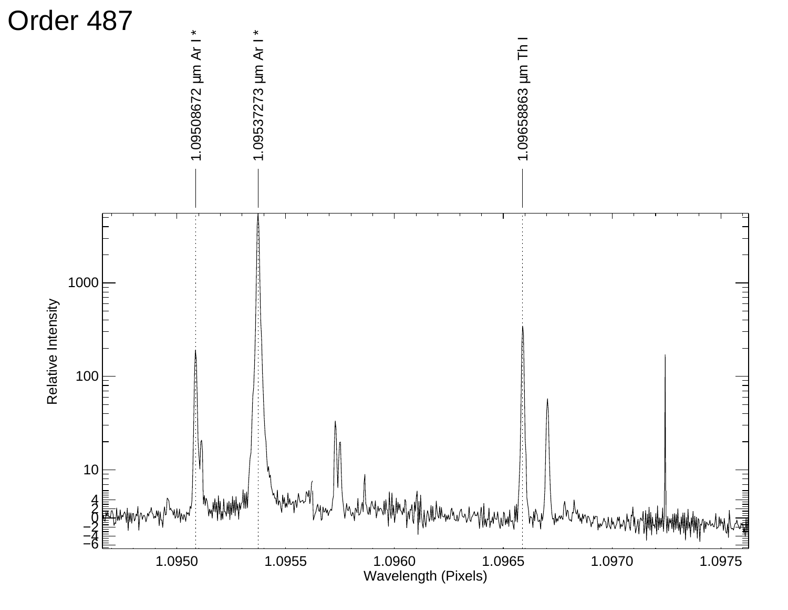![](_page_30_Figure_0.jpeg)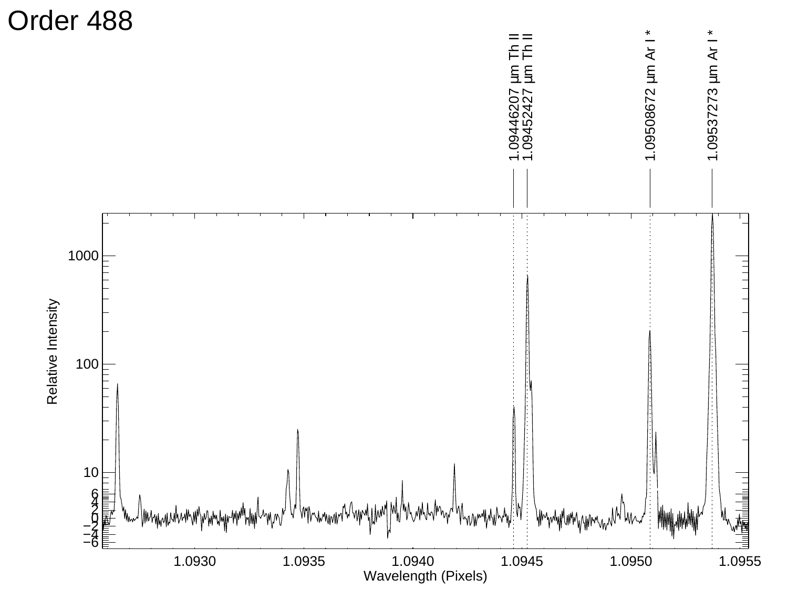![](_page_31_Figure_0.jpeg)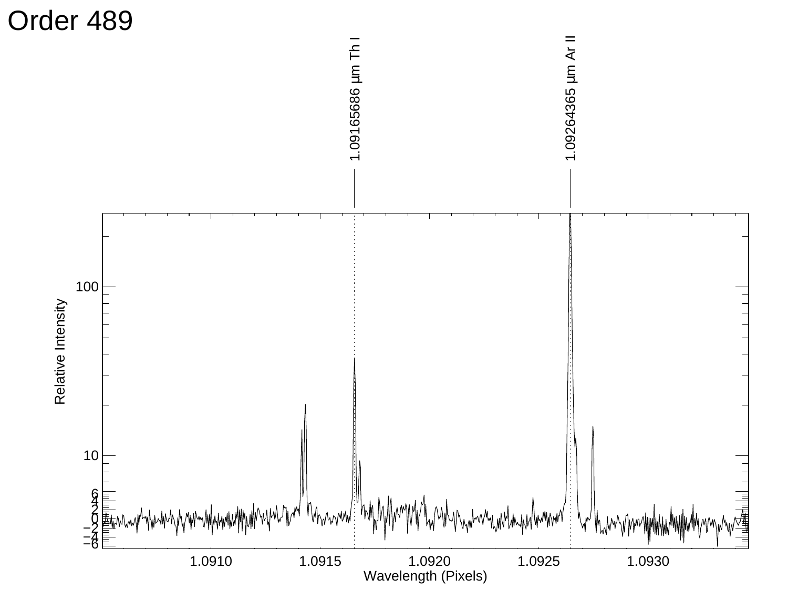![](_page_32_Figure_0.jpeg)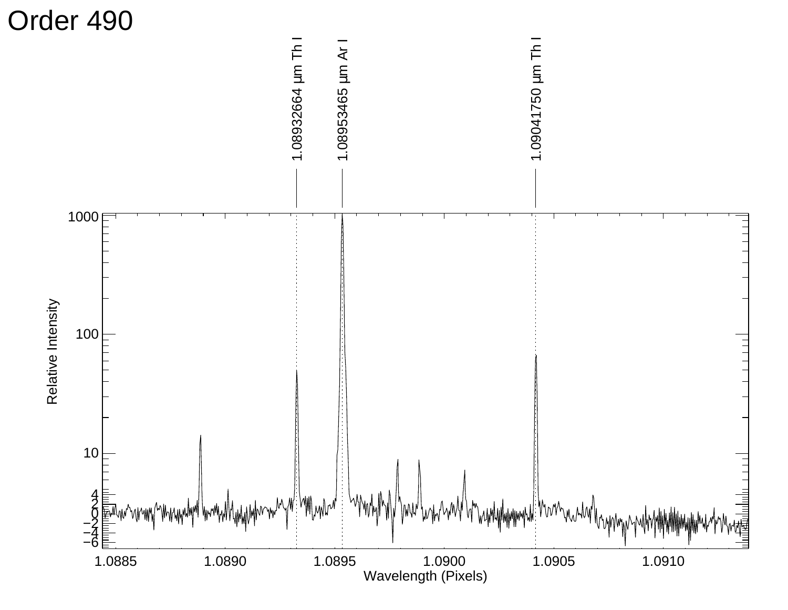![](_page_33_Figure_0.jpeg)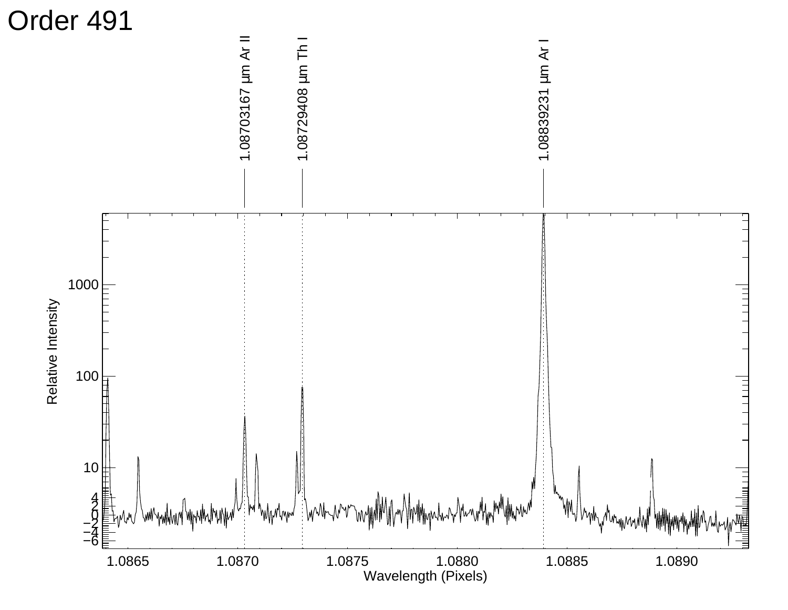![](_page_34_Figure_0.jpeg)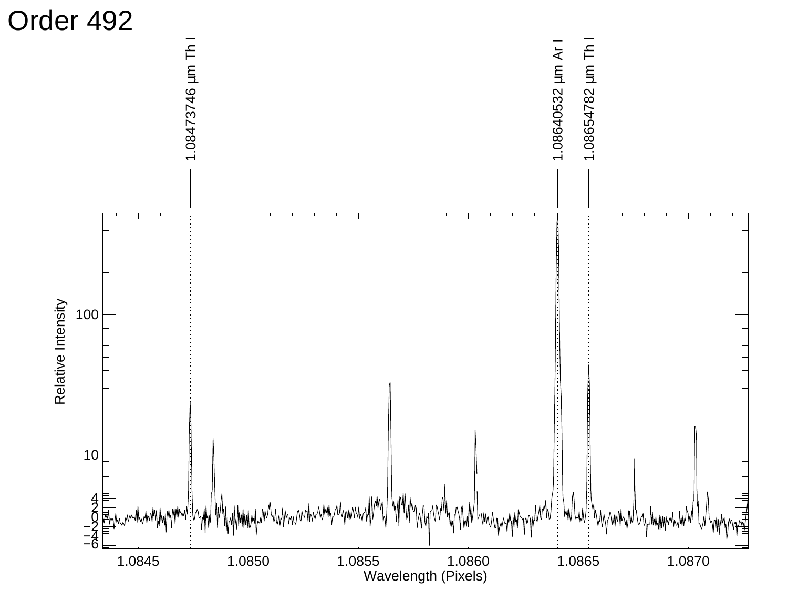![](_page_35_Figure_0.jpeg)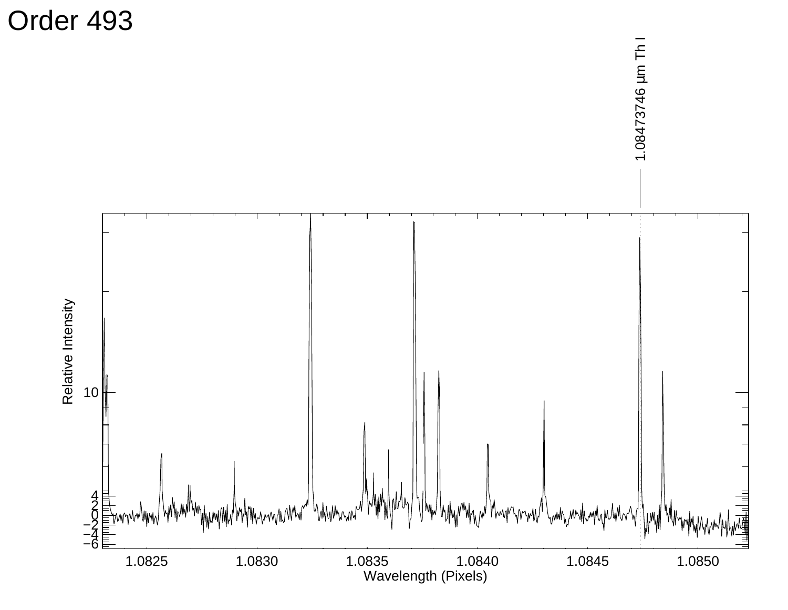Order 493

![](_page_36_Figure_1.jpeg)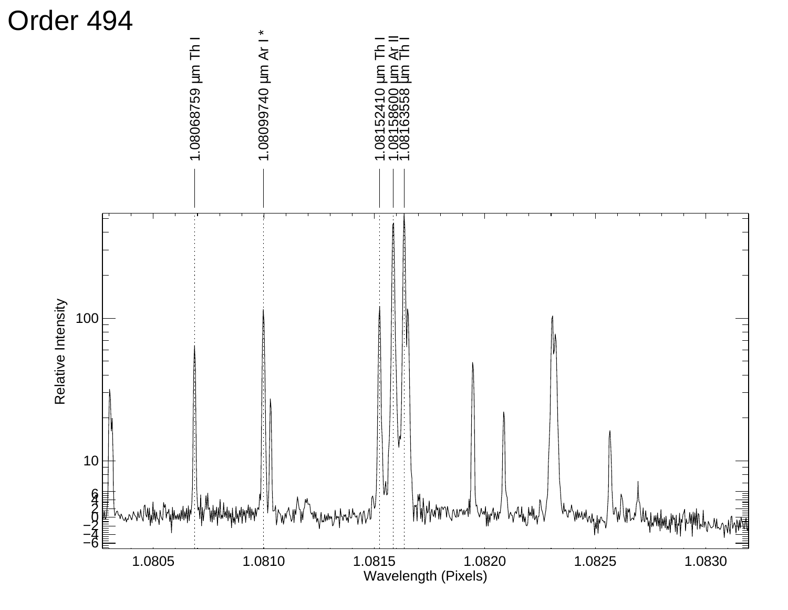![](_page_37_Figure_0.jpeg)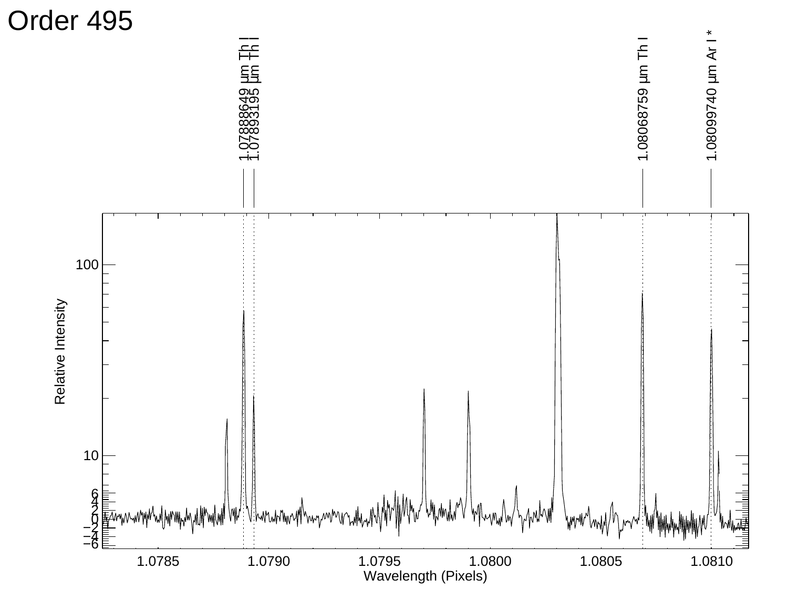![](_page_38_Figure_0.jpeg)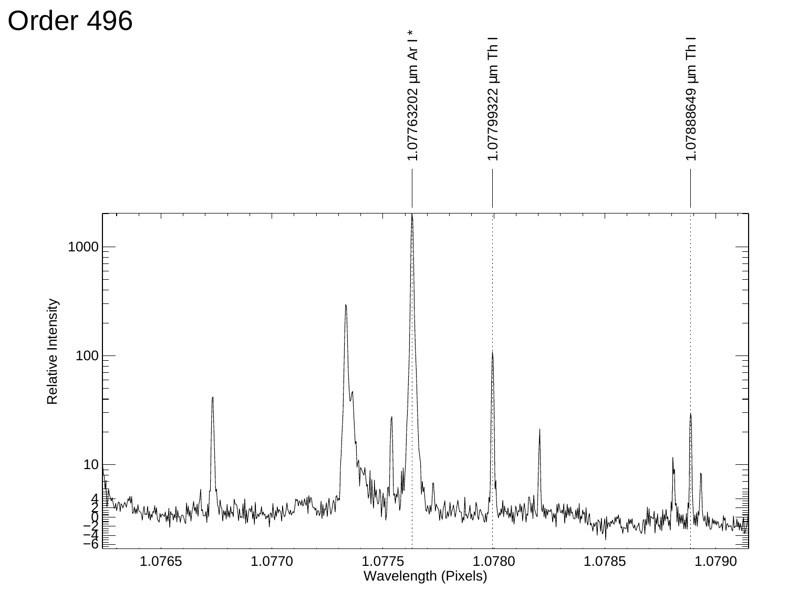![](_page_39_Figure_0.jpeg)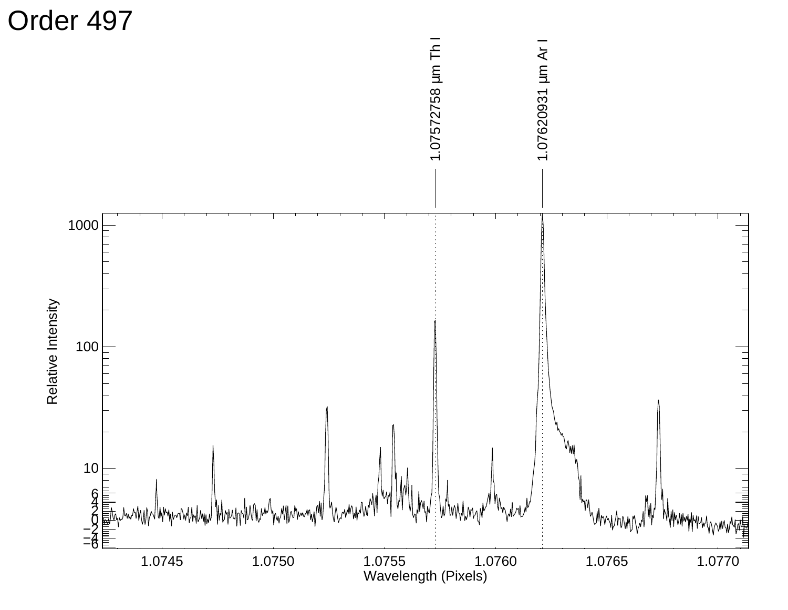![](_page_40_Figure_0.jpeg)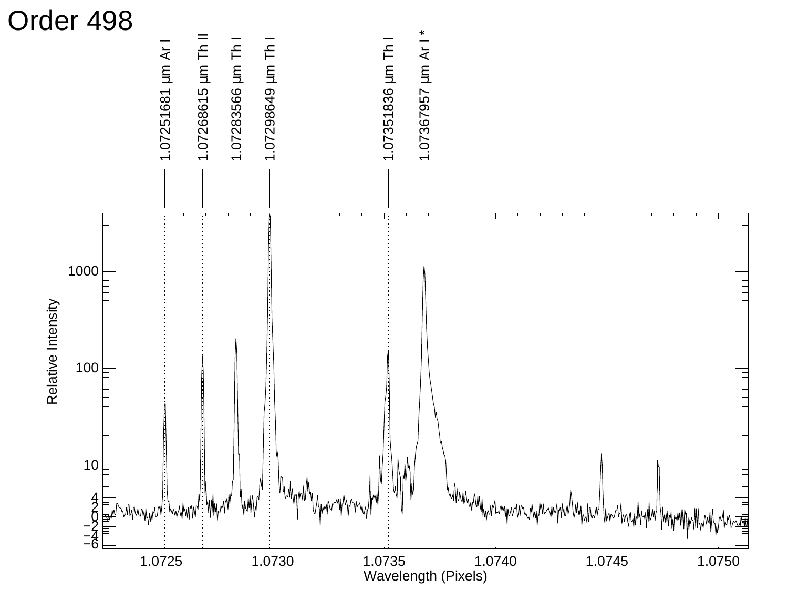![](_page_41_Figure_0.jpeg)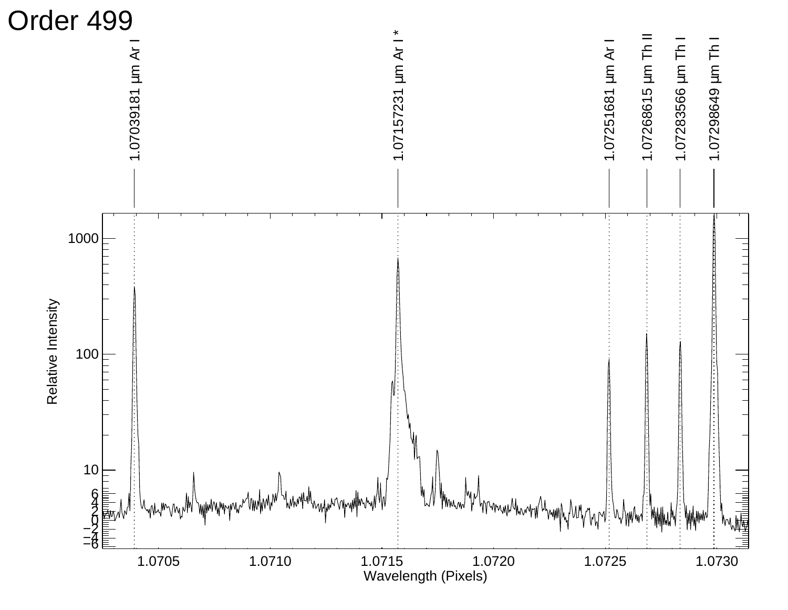![](_page_42_Figure_0.jpeg)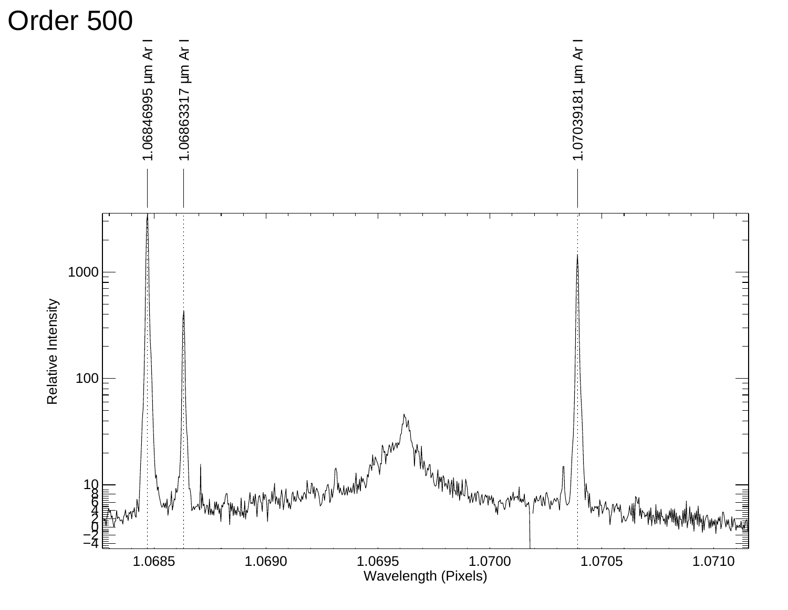![](_page_43_Figure_0.jpeg)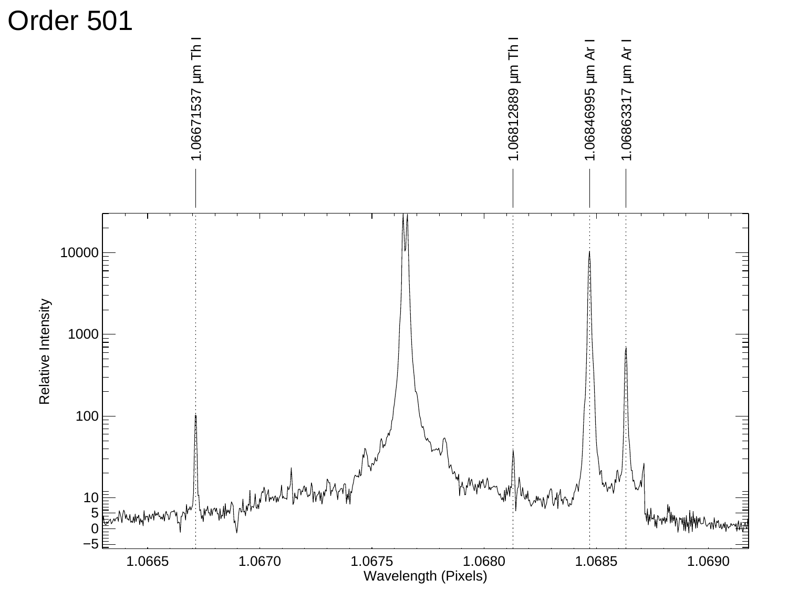![](_page_44_Figure_0.jpeg)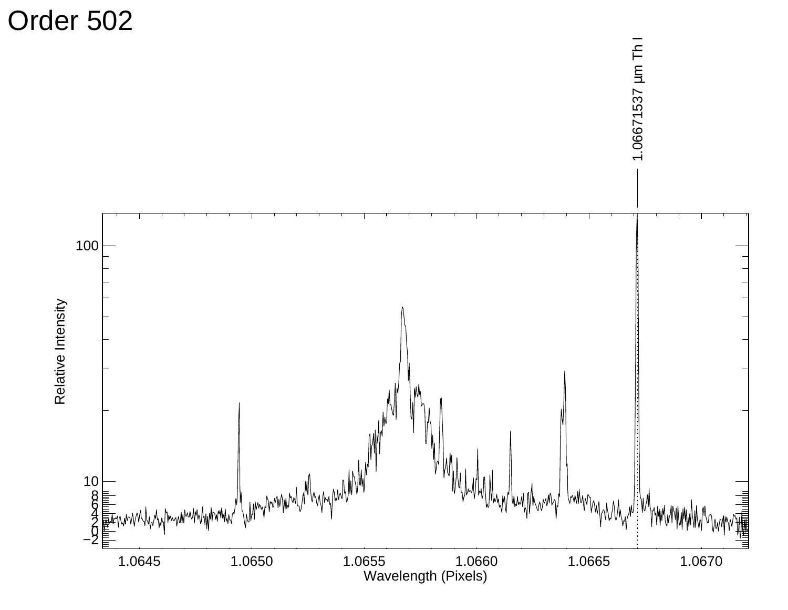Order 502

![](_page_45_Figure_1.jpeg)